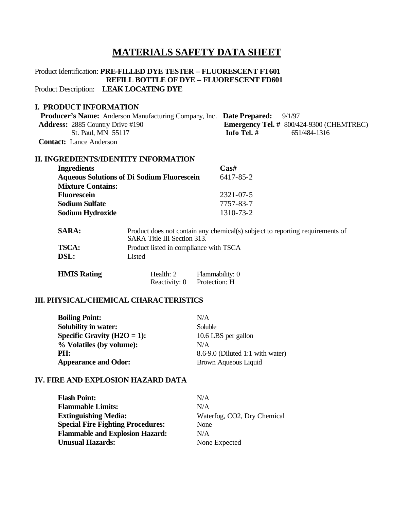## **MATERIALS SAFETY DATA SHEET**

# Product Identification: **PRE-FILLED DYE TESTER – FLUORESCENT FT601 REFILL BOTTLE OF DYE – FLUORESCENT FD601**

Product Description: **LEAK LOCATING DYE**

### **I. PRODUCT INFORMATION**

| <b>Producer's Name:</b> Anderson Manufacturing Company, Inc. Date Prepared: 9/1/97 |                                                   |
|------------------------------------------------------------------------------------|---------------------------------------------------|
| <b>Address:</b> 2885 Country Drive #190                                            | <b>Emergency Tel.</b> # $800/424-9300$ (CHEMTREC) |
| St. Paul, MN 55117                                                                 | Info Tel. #<br>651/484-1316                       |
| <b>Contact:</b> Lance Anderson                                                     |                                                   |

#### **II. INGREDIENTS/IDENTITY INFORMATION**

| <b>Ingredients</b>                                | $\bf Cas\#$     |
|---------------------------------------------------|-----------------|
| <b>Aqueous Solutions of Di Sodium Fluorescein</b> | 6417-85-2       |
| <b>Mixture Contains:</b>                          |                 |
| <b>Fluorescein</b>                                | $2321 - 07 - 5$ |
| <b>Sodium Sulfate</b>                             | 7757-83-7       |
| <b>Sodium Hydroxide</b>                           | 1310-73-2       |

| <b>SARA:</b> | Product does not contain any chemical(s) subject to reporting requirements of<br>SARA Title III Section 313. |
|--------------|--------------------------------------------------------------------------------------------------------------|
| <b>TSCA:</b> | Product listed in compliance with TSCA                                                                       |
| <b>DSL:</b>  | Listed                                                                                                       |

| <b>HMIS Rating</b> | Health: 2     | Flammability: 0 |
|--------------------|---------------|-----------------|
|                    | Reactivity: 0 | Protection: H   |

#### **III. PHYSICAL/CHEMICAL CHARACTERISTICS**

| <b>Boiling Point:</b>           | N/A                                  |
|---------------------------------|--------------------------------------|
| <b>Solubility in water:</b>     | Soluble                              |
| Specific Gravity ( $H2O = 1$ ): | 10.6 LBS per gallon                  |
| % Volatiles (by volume):        | N/A                                  |
| PH:                             | $8.6 - 9.0$ (Diluted 1:1 with water) |
| <b>Appearance and Odor:</b>     | Brown Aqueous Liquid                 |

#### **IV. FIRE AND EXPLOSION HAZARD DATA**

| <b>Flash Point:</b>                      | N/A                         |
|------------------------------------------|-----------------------------|
| <b>Flammable Limits:</b>                 | N/A                         |
| <b>Extinguishing Media:</b>              | Waterfog, CO2, Dry Chemical |
| <b>Special Fire Fighting Procedures:</b> | None                        |
| <b>Flammable and Explosion Hazard:</b>   | N/A                         |
| <b>Unusual Hazards:</b>                  | None Expected               |